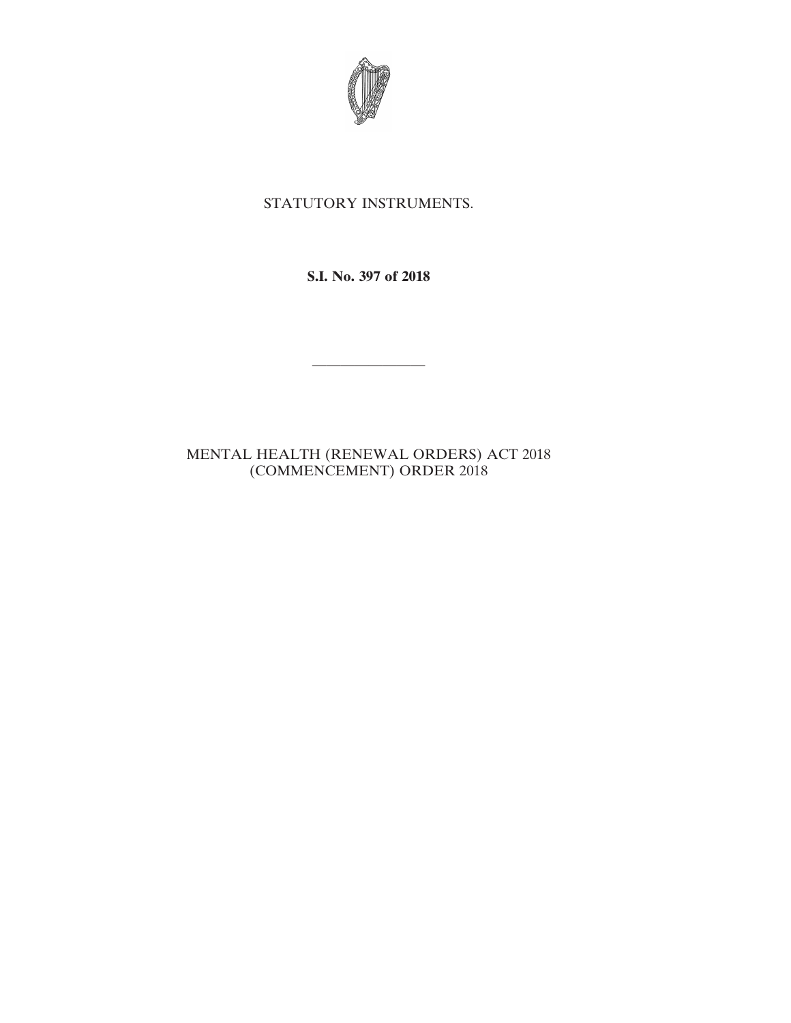

## STATUTORY INSTRUMENTS.

**S.I. No. 397 of 2018**

————————

## MENTAL HEALTH (RENEWAL ORDERS) ACT 2018 (COMMENCEMENT) ORDER 2018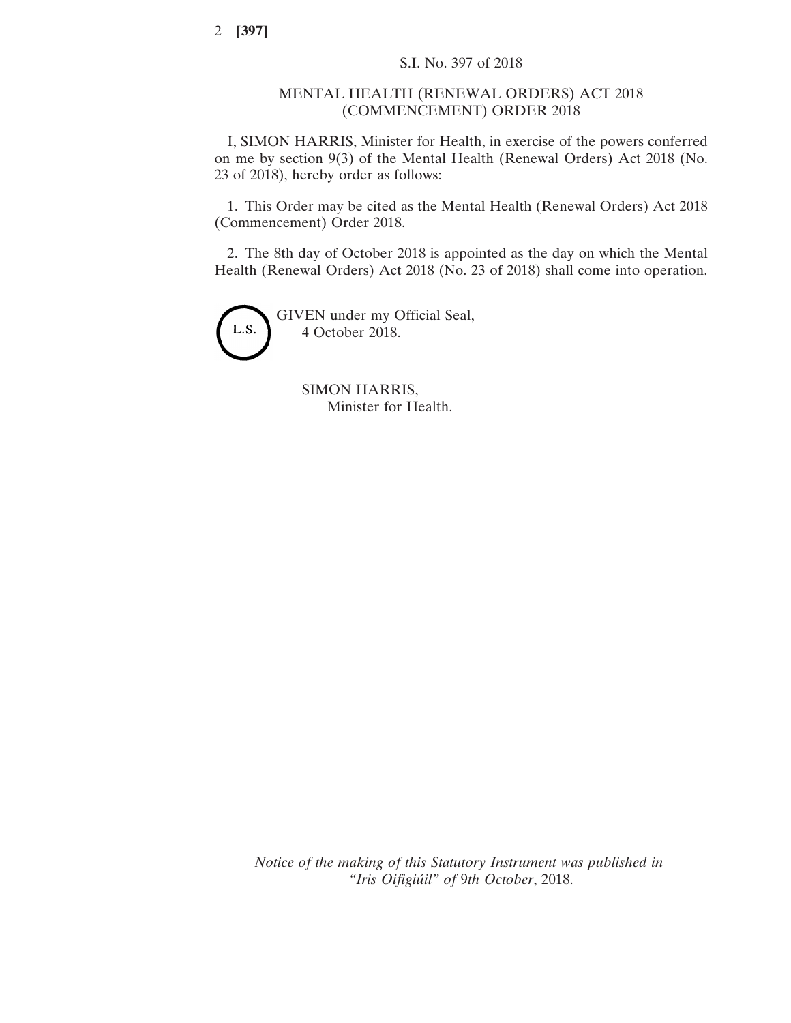2 **[397]**

## MENTAL HEALTH (RENEWAL ORDERS) ACT 2018 (COMMENCEMENT) ORDER 2018

I, SIMON HARRIS, Minister for Health, in exercise of the powers conferred on me by section 9(3) of the Mental Health (Renewal Orders) Act 2018 (No. 23 of 2018), hereby order as follows:

1. This Order may be cited as the Mental Health (Renewal Orders) Act 2018 (Commencement) Order 2018.

2. The 8th day of October 2018 is appointed as the day on which the Mental Health (Renewal Orders) Act 2018 (No. 23 of 2018) shall come into operation.



SIMON HARRIS, Minister for Health.

*Notice of the making of this Statutory Instrument was published in "Iris Oifigiúil" of* 9*th October*, 2018.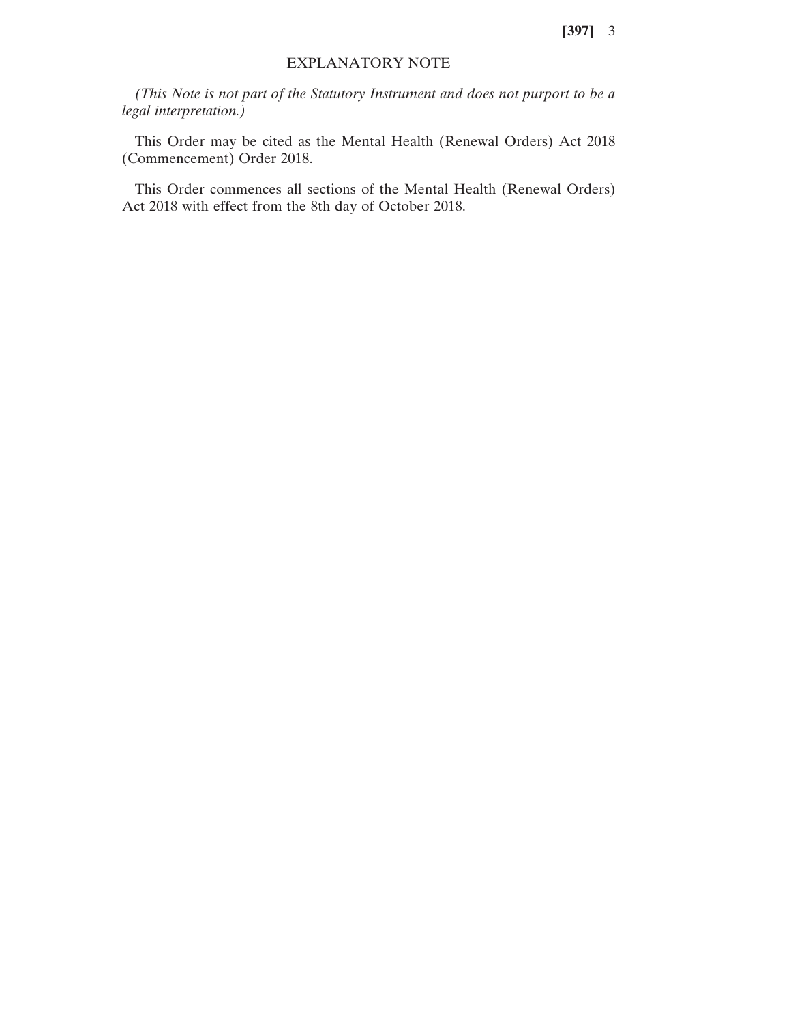**[397]** 3

## EXPLANATORY NOTE

*(This Note is not part of the Statutory Instrument and does not purport to be a legal interpretation.)*

This Order may be cited as the Mental Health (Renewal Orders) Act 2018 (Commencement) Order 2018.

This Order commences all sections of the Mental Health (Renewal Orders) Act 2018 with effect from the 8th day of October 2018.